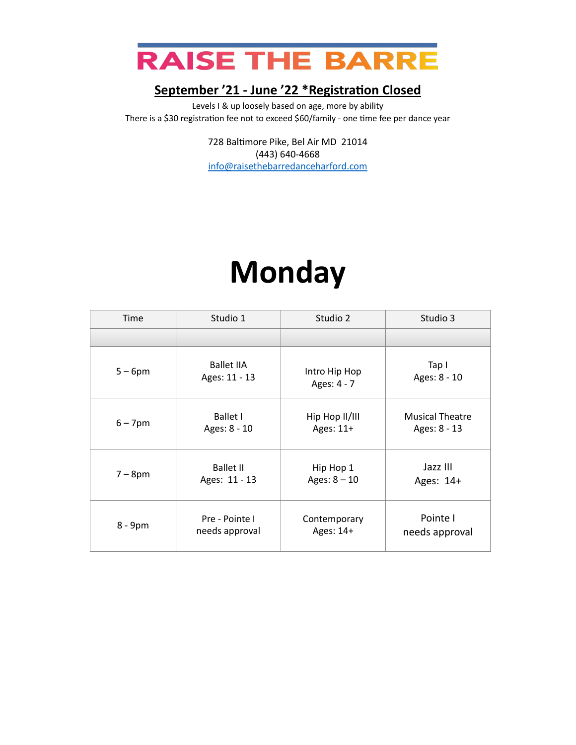

Levels I & up loosely based on age, more by ability There is a \$30 registration fee not to exceed \$60/family - one time fee per dance year

> 728 Baltimore Pike, Bel Air MD 21014 (443) 640-4668 [info@raisethebarredanceharford.com](mailto:info@raisethebarredanceharford.com)

### **Monday**

| Time       | Studio 1          | Studio 2       | Studio 3               |
|------------|-------------------|----------------|------------------------|
|            |                   |                |                        |
| $5-6$ pm   | <b>Ballet IIA</b> | Intro Hip Hop  | Tap I                  |
|            | Ages: 11 - 13     | Ages: 4 - 7    | Ages: 8 - 10           |
| $6 - 7$ pm | <b>Ballet I</b>   | Hip Hop II/III | <b>Musical Theatre</b> |
|            | Ages: 8 - 10      | Ages: 11+      | Ages: 8 - 13           |
| $7-8$ pm   | <b>Ballet II</b>  | Hip Hop 1      | Jazz III               |
|            | Ages: 11 - 13     | Ages: $8 - 10$ | Ages: 14+              |
| 8 - 9pm    | Pre - Pointe I    | Contemporary   | Pointe I               |
|            | needs approval    | Ages: 14+      | needs approval         |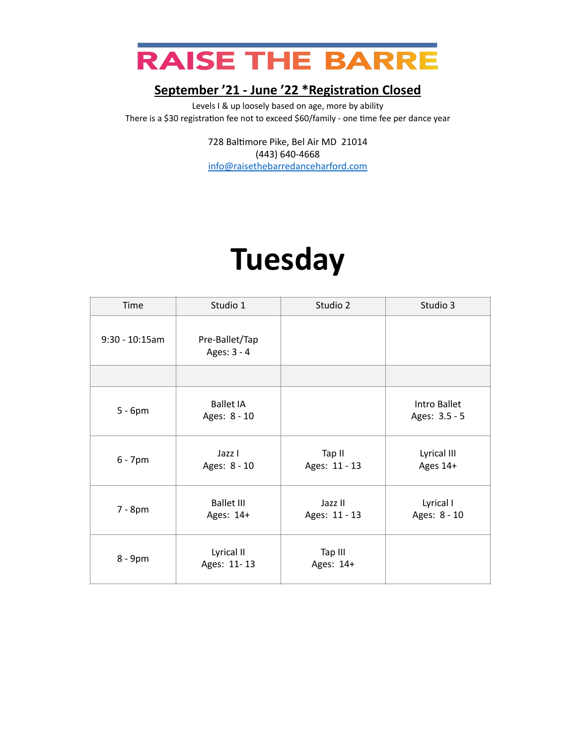

Levels I & up loosely based on age, more by ability There is a \$30 registration fee not to exceed \$60/family - one time fee per dance year

> 728 Baltimore Pike, Bel Air MD 21014 (443) 640-4668 [info@raisethebarredanceharford.com](mailto:info@raisethebarredanceharford.com)

### **Tuesday**

| Time             | Studio 1                         | Studio 2                 | Studio 3                      |
|------------------|----------------------------------|--------------------------|-------------------------------|
| $9:30 - 10:15am$ | Pre-Ballet/Tap<br>Ages: 3 - 4    |                          |                               |
|                  |                                  |                          |                               |
| $5 - 6pm$        | <b>Ballet IA</b><br>Ages: 8 - 10 |                          | Intro Ballet<br>Ages: 3.5 - 5 |
| $6 - 7$ pm       | Jazz I<br>Ages: 8 - 10           | Tap II<br>Ages: 11 - 13  | Lyrical III<br>Ages 14+       |
| 7 - 8pm          | <b>Ballet III</b><br>Ages: 14+   | Jazz II<br>Ages: 11 - 13 | Lyrical I<br>Ages: 8 - 10     |
| 8 - 9pm          | Lyrical II<br>Ages: 11-13        | Tap III<br>Ages: 14+     |                               |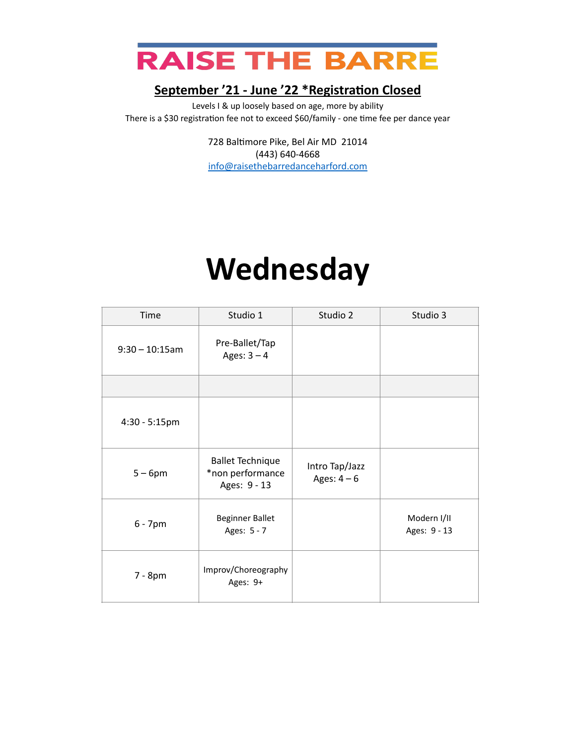

Levels I & up loosely based on age, more by ability There is a \$30 registration fee not to exceed \$60/family - one time fee per dance year

> 728 Baltimore Pike, Bel Air MD 21014 (443) 640-4668 [info@raisethebarredanceharford.com](mailto:info@raisethebarredanceharford.com)

### **Wednesday**

| Time              | Studio 1                                                    | Studio 2                      | Studio 3                    |
|-------------------|-------------------------------------------------------------|-------------------------------|-----------------------------|
| $9:30 - 10:15$ am | Pre-Ballet/Tap<br>Ages: $3 - 4$                             |                               |                             |
|                   |                                                             |                               |                             |
| 4:30 - 5:15pm     |                                                             |                               |                             |
| $5 - 6$ pm        | <b>Ballet Technique</b><br>*non performance<br>Ages: 9 - 13 | Intro Tap/Jazz<br>Ages: $4-6$ |                             |
| $6 - 7$ pm        | <b>Beginner Ballet</b><br>Ages: 5 - 7                       |                               | Modern I/II<br>Ages: 9 - 13 |
| 7 - 8pm           | Improv/Choreography<br>Ages: 9+                             |                               |                             |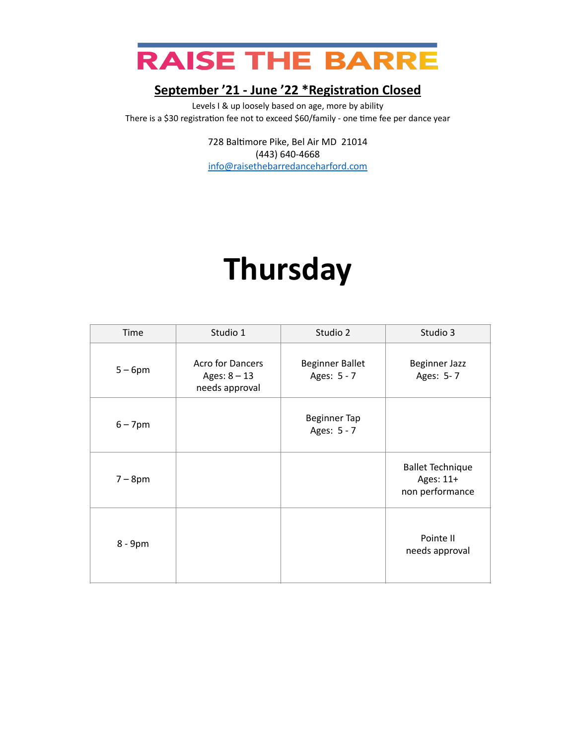

Levels I & up loosely based on age, more by ability There is a \$30 registration fee not to exceed \$60/family - one time fee per dance year

> 728 Baltimore Pike, Bel Air MD 21014 (443) 640-4668 [info@raisethebarredanceharford.com](mailto:info@raisethebarredanceharford.com)

### **Thursday**

| Time       | Studio 1                                                    | Studio 2                              | Studio 3                                                |
|------------|-------------------------------------------------------------|---------------------------------------|---------------------------------------------------------|
| $5-6$ pm   | <b>Acro for Dancers</b><br>Ages: $8 - 13$<br>needs approval | <b>Beginner Ballet</b><br>Ages: 5 - 7 | <b>Beginner Jazz</b><br>Ages: 5-7                       |
| $6 - 7$ pm |                                                             | <b>Beginner Tap</b><br>Ages: 5 - 7    |                                                         |
| $7 - 8$ pm |                                                             |                                       | <b>Ballet Technique</b><br>Ages: 11+<br>non performance |
| 8 - 9pm    |                                                             |                                       | Pointe II<br>needs approval                             |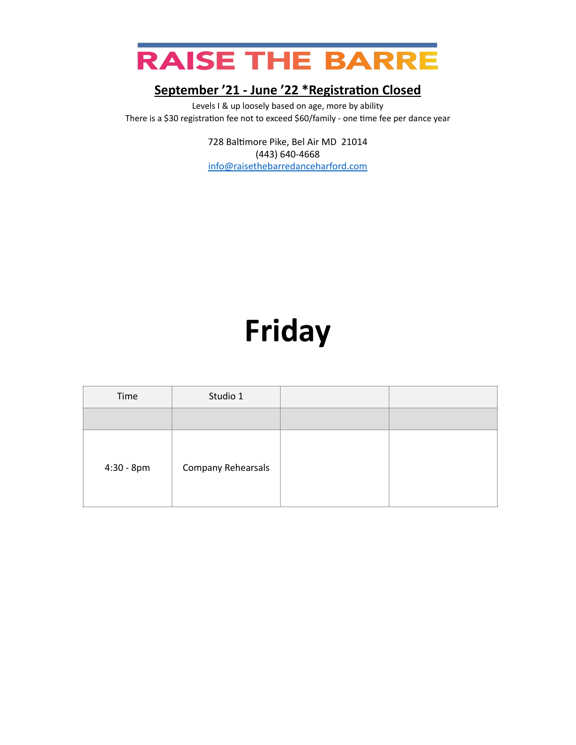

Levels I & up loosely based on age, more by ability There is a \$30 registration fee not to exceed \$60/family - one time fee per dance year

> 728 Baltimore Pike, Bel Air MD 21014 (443) 640-4668 [info@raisethebarredanceharford.com](mailto:info@raisethebarredanceharford.com)

# **Friday**

| Time         | Studio 1           |  |
|--------------|--------------------|--|
|              |                    |  |
| $4:30 - 8pm$ | Company Rehearsals |  |